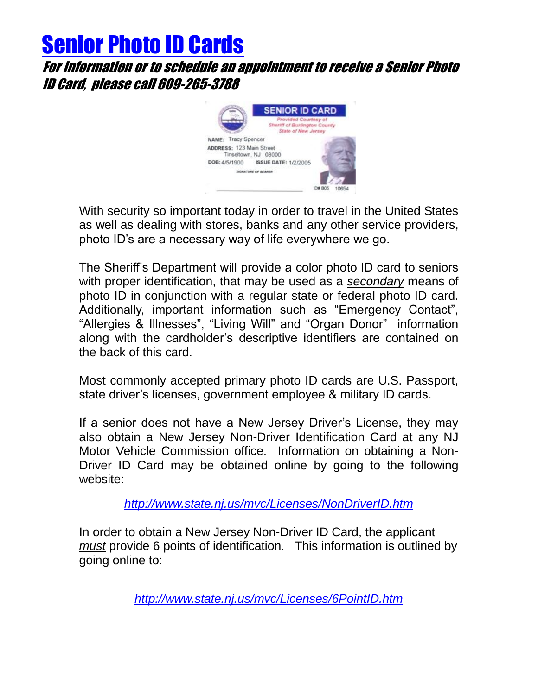## Senior Photo ID Cards

For Information or to schedule an appointment to receive a Senior Photo ID Card, please call 609-265-3788



With security so important today in order to travel in the United States as well as dealing with stores, banks and any other service providers, photo ID's are a necessary way of life everywhere we go.

The Sheriff's Department will provide a color photo ID card to seniors with proper identification, that may be used as a *secondary* means of photo ID in conjunction with a regular state or federal photo ID card. Additionally, important information such as "Emergency Contact", "Allergies & Illnesses", "Living Will" and "Organ Donor" information along with the cardholder's descriptive identifiers are contained on the back of this card.

Most commonly accepted primary photo ID cards are U.S. Passport, state driver's licenses, government employee & military ID cards.

If a senior does not have a New Jersey Driver's License, they may also obtain a New Jersey Non-Driver Identification Card at any NJ Motor Vehicle Commission office. Information on obtaining a Non-Driver ID Card may be obtained online by going to the following website:

*<http://www.state.nj.us/mvc/Licenses/NonDriverID.htm>*

In order to obtain a New Jersey Non-Driver ID Card, the applicant *must* provide 6 points of identification. This information is outlined by going online to:

*<http://www.state.nj.us/mvc/Licenses/6PointID.htm>*